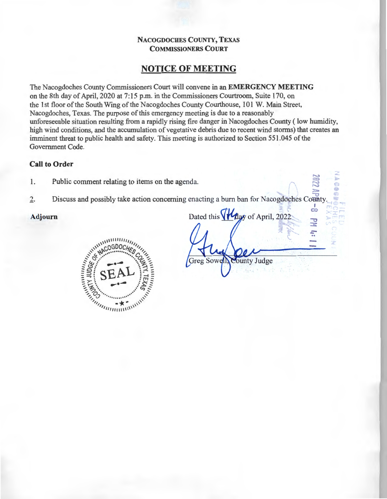## **NACOGDOCHES COUNTY, TEXAS COMMISSIONERS COURT**

# **NOTICE OF MEETING**

The Nacogdoches County Commissioners Court will convene in an **EMERGENCY MEETING**  on the 8th day of April, 2020 at 7:15 p.m. in the Commissioners Courtroom, Suite 170, on the 1st floor of the South Wing of the Nacogdoches County Courthouse, 101 W. Main Street, Nacogdoches, Texas. The purpose of this emergency meeting is due to a reasonably unforeseeable situation resulting from a rapidly rising fire danger in Nacogdoches County ( low humidity, high wind conditions, and the accumulation of vegetative debris due to recent wind storms) that creates an imminent threat to public health and safety. This meeting is authorized to Section 551.045 of the Government Code.

## **Call to Order**

- 1. Public comment relating to items on the agenda.
- 2. Discuss and possibly take action concerning enacting a burn ban for Nacogdoches County.



Adjourn Dated this **(flagy** of April, 2022: **:x**  .:::- .. Greg Sowel ounty Judge

 $\sim$  $\overline{\iota}\overline{\iota}\overline{\iota}\overline{\iota}$  $\tilde{\phantom{a}}$ **:l>** 

-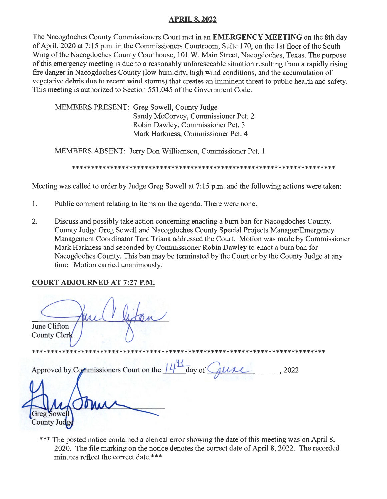# **APRIL 8, 2022**

The Nacogdoches County Commissioners Court met in an **EMERGENCY MEETING** on the 8th day of April, 2020 at 7:15 p.m. in the Commissioners Courtroom, Suite 170, on the 1st floor of the South Wing of the Nacogdoches County Courthouse, 101 W. Main Street, Nacogdoches, Texas. The purpose of this emergency meeting is due to a reasonably unforeseeable situation resulting from a rapidly rising fire danger in Nacogdoches County (low humidity, high wind conditions, and the accumulation of vegetative debris due to recent wind storms) that creates an imminent threat to public health and safety. This meeting is authorized to Section 551.045 of the Government Code.

MEMBERS PRESENT: Greg Sowell, County Judge Sandy McCorvey, Commissioner Pet. 2 Robin Dawley, Commissioner Pet. 3 Mark Harkness, Commissioner Pet. 4

MEMBERS ABSENT: Jerry Don Williamson, Commissioner Pet. 1

\*\*\*\*\*\*\*\*\*\*\*\*\*\*\*\*\*\*\*\*\*\*\*\*\*\*\*\*\*\*\*\*\*\*\*\*\*\*\*\*\*\*\*\*\*\*\*\*\*\*\*\*\*\*\*\*\*\*\*\*\*\*\*\*\*\*\*\*\*

Meeting was called to order by Judge Greg Sowell at 7:15 p.m. and the following actions were taken:

- 1. Public comment relating to items on the agenda. There were none.
- 2. Discuss and possibly take action concerning enacting a bum ban for Nacogdoches County. County Judge Greg Sowell and Nacogdoches County Special Projects Manager/Emergency Management Coordinator Tara Triana addressed the Court. Motion was made by Commissioner Mark Harkness and seconded by Commissioner Robin Dawley to enact a bum ban for Nacogdoches County. This ban may be terminated by the Court or by the County Judge at any time. Motion carried unanimously.

# **COURT ADJOURNED AT 7:27 P.M.**

ton June Clifton County Clerk

\*\*\*\*\*\*\*\*\*\*\*\*\*\*\*\*\*\*\*\*\*\*\*\*\*\*\*\*\*\*\*\*\*\*\*\*\*\*\*\*\*\*\*\*\*\*\*\*\*\*\*\*\*\*\*\*\*\*\*\*\*\*\*\*\*\*\*\*\*\*\*\*\*\*\*\*\*

Approved by Commissioners Court on the  $14^{\frac{11}{2}}$  day of  $\bigcirc$   $\mu$   $\ell$  , 2022

Sowell County Jud

\*\*\* The posted notice contained a clerical error showing the date of this meeting was on April 8, 2020. The file marking on the notice denotes the correct date of April 8, 2022. The recorded minutes reflect the correct date.\*\*\*